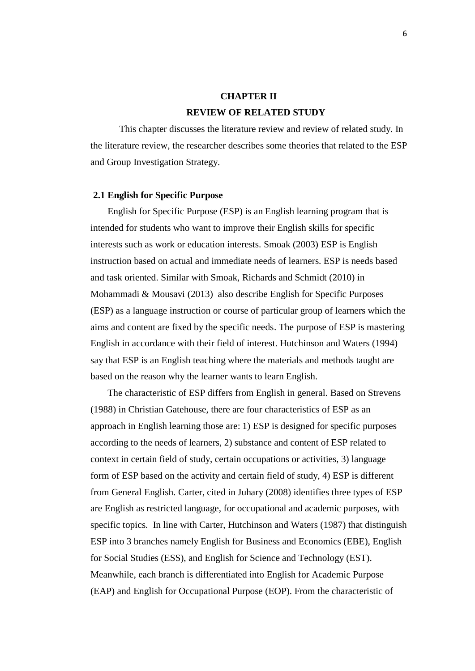# **CHAPTER II REVIEW OF RELATED STUDY**

This chapter discusses the literature review and review of related study. In the literature review, the researcher describes some theories that related to the ESP and Group Investigation Strategy.

#### **2.1 English for Specific Purpose**

English for Specific Purpose (ESP) is an English learning program that is intended for students who want to improve their English skills for specific interests such as work or education interests. Smoak (2003) ESP is English instruction based on actual and immediate needs of learners. ESP is needs based and task oriented. Similar with Smoak, Richards and Schmidt (2010) in Mohammadi & Mousavi (2013) also describe English for Specific Purposes (ESP) as a language instruction or course of particular group of learners which the aims and content are fixed by the specific needs. The purpose of ESP is mastering English in accordance with their field of interest. Hutchinson and Waters (1994) say that ESP is an English teaching where the materials and methods taught are based on the reason why the learner wants to learn English.

The characteristic of ESP differs from English in general. Based on Strevens (1988) in Christian Gatehouse, there are four characteristics of ESP as an approach in English learning those are: 1) ESP is designed for specific purposes according to the needs of learners, 2) substance and content of ESP related to context in certain field of study, certain occupations or activities, 3) language form of ESP based on the activity and certain field of study, 4) ESP is different from General English. Carter, cited in Juhary (2008) identifies three types of ESP are English as restricted language, for occupational and academic purposes, with specific topics. In line with Carter, Hutchinson and Waters (1987) that distinguish ESP into 3 branches namely English for Business and Economics (EBE), English for Social Studies (ESS), and English for Science and Technology (EST). Meanwhile, each branch is differentiated into English for Academic Purpose (EAP) and English for Occupational Purpose (EOP). From the characteristic of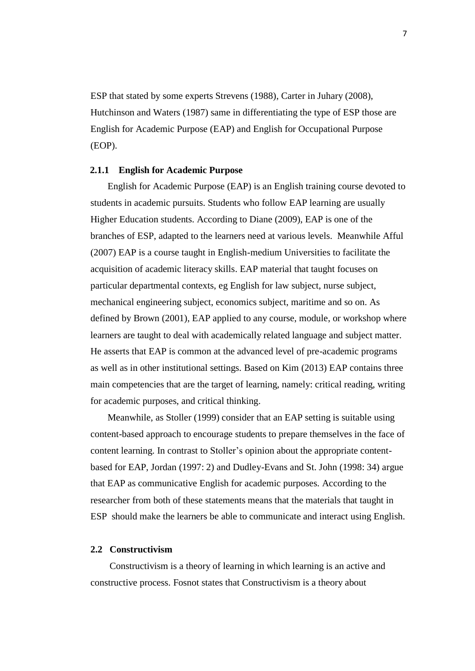ESP that stated by some experts Strevens (1988), Carter in Juhary (2008), Hutchinson and Waters (1987) same in differentiating the type of ESP those are English for Academic Purpose (EAP) and English for Occupational Purpose (EOP).

## **2.1.1 English for Academic Purpose**

English for Academic Purpose (EAP) is an English training course devoted to students in academic pursuits. Students who follow EAP learning are usually Higher Education students. According to Diane (2009), EAP is one of the branches of ESP, adapted to the learners need at various levels. Meanwhile Afful (2007) EAP is a course taught in English-medium Universities to facilitate the acquisition of academic literacy skills. EAP material that taught focuses on particular departmental contexts, eg English for law subject, nurse subject, mechanical engineering subject, economics subject, maritime and so on. As defined by Brown (2001), EAP applied to any course, module, or workshop where learners are taught to deal with academically related language and subject matter. He asserts that EAP is common at the advanced level of pre-academic programs as well as in other institutional settings. Based on Kim (2013) EAP contains three main competencies that are the target of learning, namely: critical reading, writing for academic purposes, and critical thinking.

Meanwhile, as Stoller (1999) consider that an EAP setting is suitable using content-based approach to encourage students to prepare themselves in the face of content learning. In contrast to Stoller's opinion about the appropriate contentbased for EAP, Jordan (1997: 2) and Dudley-Evans and St. John (1998: 34) argue that EAP as communicative English for academic purposes. According to the researcher from both of these statements means that the materials that taught in ESP should make the learners be able to communicate and interact using English.

#### **2.2 Constructivism**

Constructivism is a theory of learning in which learning is an active and constructive process. Fosnot states that Constructivism is a theory about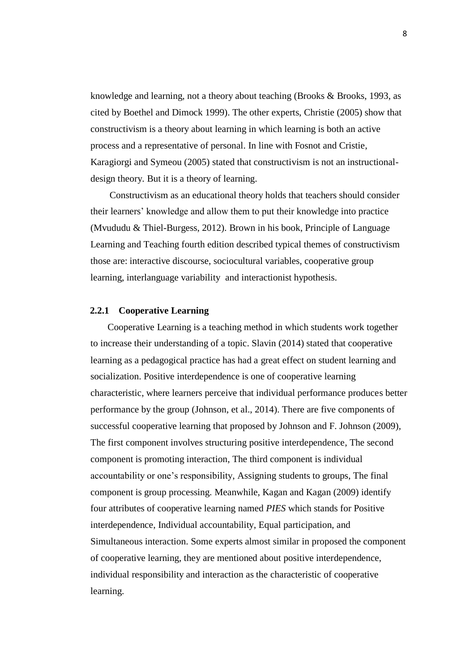knowledge and learning, not a theory about teaching (Brooks & Brooks, 1993, as cited by Boethel and Dimock 1999). The other experts, Christie (2005) show that constructivism is a theory about learning in which learning is both an active process and a representative of personal. In line with Fosnot and Cristie, Karagiorgi and Symeou (2005) stated that constructivism is not an instructionaldesign theory. But it is a theory of learning.

Constructivism as an educational theory holds that teachers should consider their learners' knowledge and allow them to put their knowledge into practice (Mvududu & Thiel-Burgess, 2012). Brown in his book, Principle of Language Learning and Teaching fourth edition described typical themes of constructivism those are: interactive discourse, sociocultural variables, cooperative group learning, interlanguage variability and interactionist hypothesis.

## **2.2.1 Cooperative Learning**

Cooperative Learning is a teaching method in which students work together to increase their understanding of a topic. Slavin (2014) stated that cooperative learning as a pedagogical practice has had a great effect on student learning and socialization. Positive interdependence is one of cooperative learning characteristic, where learners perceive that individual performance produces better performance by the group (Johnson, et al., 2014). There are five components of successful cooperative learning that proposed by Johnson and F. Johnson (2009), The first component involves structuring positive interdependence, The second component is promoting interaction, The third component is individual accountability or one's responsibility, Assigning students to groups, The final component is group processing. Meanwhile, Kagan and Kagan (2009) identify four attributes of cooperative learning named *PIES* which stands for Positive interdependence, Individual accountability, Equal participation, and Simultaneous interaction. Some experts almost similar in proposed the component of cooperative learning, they are mentioned about positive interdependence, individual responsibility and interaction as the characteristic of cooperative learning.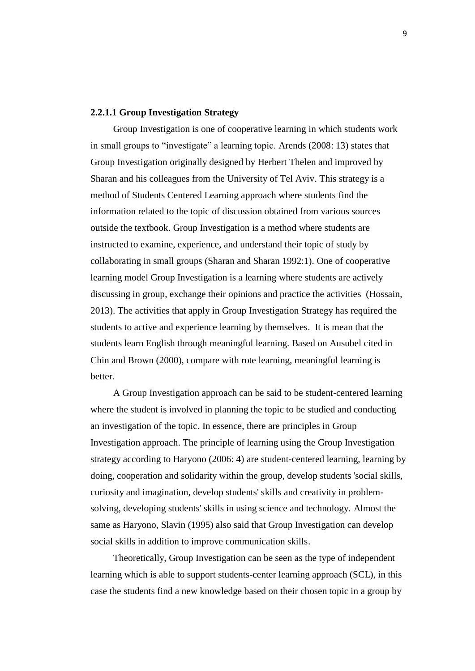## **2.2.1.1 Group Investigation Strategy**

Group Investigation is one of cooperative learning in which students work in small groups to "investigate" a learning topic. Arends (2008: 13) states that Group Investigation originally designed by Herbert Thelen and improved by Sharan and his colleagues from the University of Tel Aviv. This strategy is a method of Students Centered Learning approach where students find the information related to the topic of discussion obtained from various sources outside the textbook. Group Investigation is a method where students are instructed to examine, experience, and understand their topic of study by collaborating in small groups (Sharan and Sharan 1992:1). One of cooperative learning model Group Investigation is a learning where students are actively discussing in group, exchange their opinions and practice the activities (Hossain, 2013). The activities that apply in Group Investigation Strategy has required the students to active and experience learning by themselves. It is mean that the students learn English through meaningful learning. Based on Ausubel cited in Chin and Brown (2000), compare with rote learning, meaningful learning is better.

A Group Investigation approach can be said to be student-centered learning where the student is involved in planning the topic to be studied and conducting an investigation of the topic. In essence, there are principles in Group Investigation approach. The principle of learning using the Group Investigation strategy according to Haryono (2006: 4) are student-centered learning, learning by doing, cooperation and solidarity within the group, develop students 'social skills, curiosity and imagination, develop students' skills and creativity in problemsolving, developing students' skills in using science and technology. Almost the same as Haryono, Slavin (1995) also said that Group Investigation can develop social skills in addition to improve communication skills.

Theoretically, Group Investigation can be seen as the type of independent learning which is able to support students-center learning approach (SCL), in this case the students find a new knowledge based on their chosen topic in a group by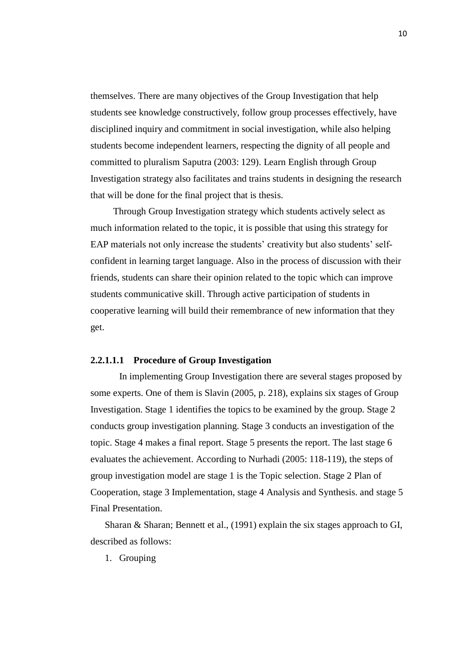themselves. There are many objectives of the Group Investigation that help students see knowledge constructively, follow group processes effectively, have disciplined inquiry and commitment in social investigation, while also helping students become independent learners, respecting the dignity of all people and committed to pluralism Saputra (2003: 129). Learn English through Group Investigation strategy also facilitates and trains students in designing the research that will be done for the final project that is thesis.

Through Group Investigation strategy which students actively select as much information related to the topic, it is possible that using this strategy for EAP materials not only increase the students' creativity but also students' selfconfident in learning target language. Also in the process of discussion with their friends, students can share their opinion related to the topic which can improve students communicative skill. Through active participation of students in cooperative learning will build their remembrance of new information that they get.

## **2.2.1.1.1 Procedure of Group Investigation**

In implementing Group Investigation there are several stages proposed by some experts. One of them is Slavin (2005, p. 218), explains six stages of Group Investigation. Stage 1 identifies the topics to be examined by the group. Stage 2 conducts group investigation planning. Stage 3 conducts an investigation of the topic. Stage 4 makes a final report. Stage 5 presents the report. The last stage 6 evaluates the achievement. According to Nurhadi (2005: 118-119), the steps of group investigation model are stage 1 is the Topic selection. Stage 2 Plan of Cooperation, stage 3 Implementation, stage 4 Analysis and Synthesis. and stage 5 Final Presentation.

Sharan & Sharan; Bennett et al., (1991) explain the six stages approach to GI, described as follows:

1. Grouping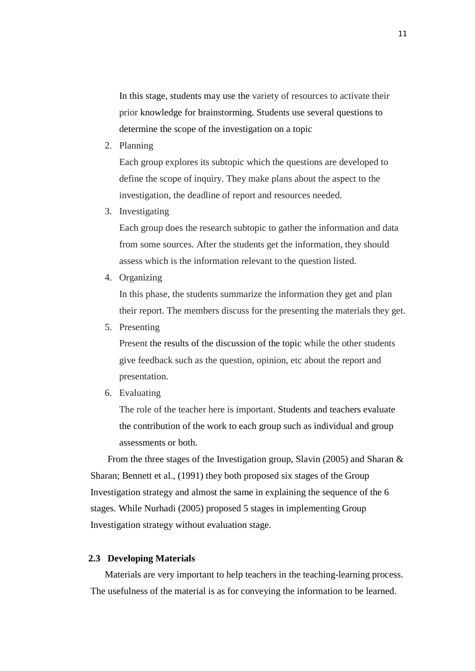In this stage, students may use the variety of resources to activate their prior knowledge for brainstorming. Students use several questions to determine the scope of the investigation on a topic

2. Planning

Each group explores its subtopic which the questions are developed to define the scope of inquiry. They make plans about the aspect to the investigation, the deadline of report and resources needed.

3. Investigating

Each group does the research subtopic to gather the information and data from some sources. After the students get the information, they should assess which is the information relevant to the question listed.

4. Organizing

In this phase, the students summarize the information they get and plan their report. The members discuss for the presenting the materials they get.

5. Presenting

Present the results of the discussion of the topic while the other students give feedback such as the question, opinion, etc about the report and presentation.

6. Evaluating

The role of the teacher here is important. Students and teachers evaluate the contribution of the work to each group such as individual and group assessments or both.

From the three stages of the Investigation group, Slavin (2005) and Sharan & Sharan; Bennett et al., (1991) they both proposed six stages of the Group Investigation strategy and almost the same in explaining the sequence of the 6 stages. While Nurhadi (2005) proposed 5 stages in implementing Group Investigation strategy without evaluation stage.

#### **2.3 Developing Materials**

Materials are very important to help teachers in the teaching-learning process. The usefulness of the material is as for conveying the information to be learned.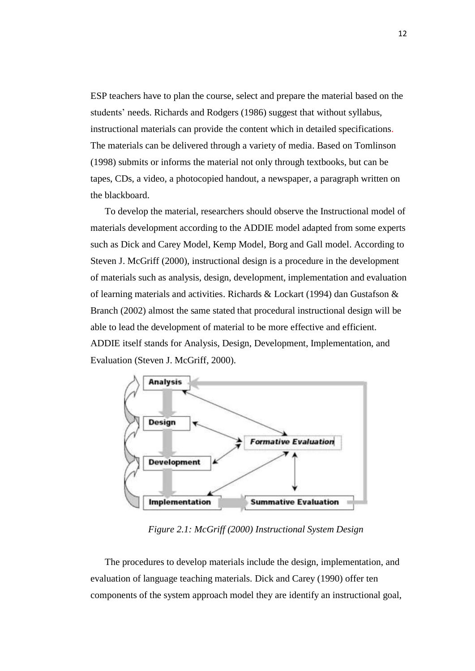ESP teachers have to plan the course, select and prepare the material based on the students' needs. Richards and Rodgers (1986) suggest that without syllabus, instructional materials can provide the content which in detailed specifications. The materials can be delivered through a variety of media. Based on Tomlinson (1998) submits or informs the material not only through textbooks, but can be tapes, CDs, a video, a photocopied handout, a newspaper, a paragraph written on the blackboard.

To develop the material, researchers should observe the Instructional model of materials development according to the ADDIE model adapted from some experts such as Dick and Carey Model, Kemp Model, Borg and Gall model. According to Steven J. McGriff (2000), instructional design is a procedure in the development of materials such as analysis, design, development, implementation and evaluation of learning materials and activities. Richards & Lockart (1994) dan Gustafson & Branch (2002) almost the same stated that procedural instructional design will be able to lead the development of material to be more effective and efficient. ADDIE itself stands for Analysis, Design, Development, Implementation, and Evaluation (Steven J. McGriff, 2000).



*Figure 2.1: McGriff (2000) Instructional System Design*

The procedures to develop materials include the design, implementation, and evaluation of language teaching materials. Dick and Carey (1990) offer ten components of the system approach model they are identify an instructional goal,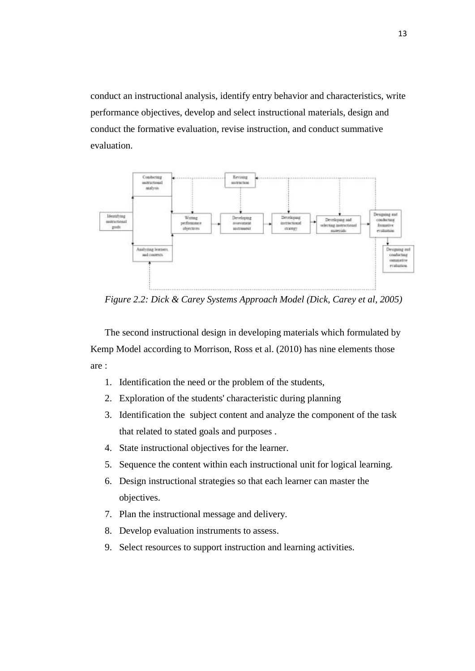conduct an instructional analysis, identify entry behavior and characteristics, write performance objectives, develop and select instructional materials, design and conduct the formative evaluation, revise instruction, and conduct summative evaluation.



*Figure 2.2: Dick & Carey Systems Approach Model (Dick, Carey et al, 2005)*

The second instructional design in developing materials which formulated by Kemp Model according to Morrison, Ross et al. (2010) has nine elements those are :

- 1. Identification the need or the problem of the students,
- 2. Exploration of the students' characteristic during planning
- 3. Identification the subject content and analyze the component of the task that related to stated goals and purposes .
- 4. State instructional objectives for the learner.
- 5. Sequence the content within each instructional unit for logical learning.
- 6. Design instructional strategies so that each learner can master the objectives.
- 7. Plan the instructional message and delivery.
- 8. Develop evaluation instruments to assess.
- 9. Select resources to support instruction and learning activities.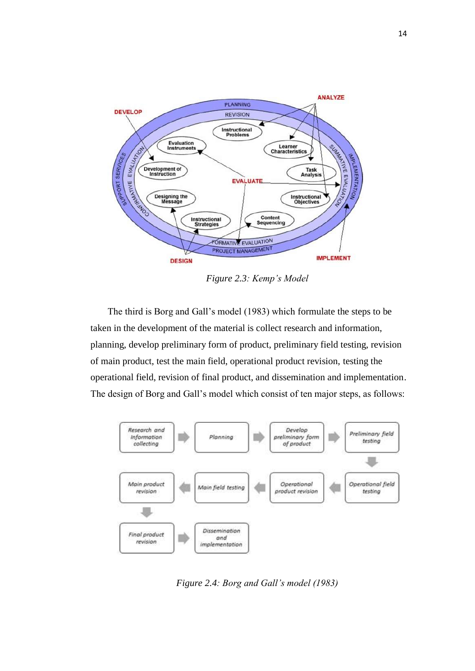

*Figure 2.3: Kemp's Model*

The third is Borg and Gall's model (1983) which formulate the steps to be taken in the development of the material is collect research and information, planning, develop preliminary form of product, preliminary field testing, revision of main product, test the main field, operational product revision, testing the operational field, revision of final product, and dissemination and implementation. The design of Borg and Gall's model which consist of ten major steps, as follows:



*Figure 2.4: Borg and Gall's model (1983)*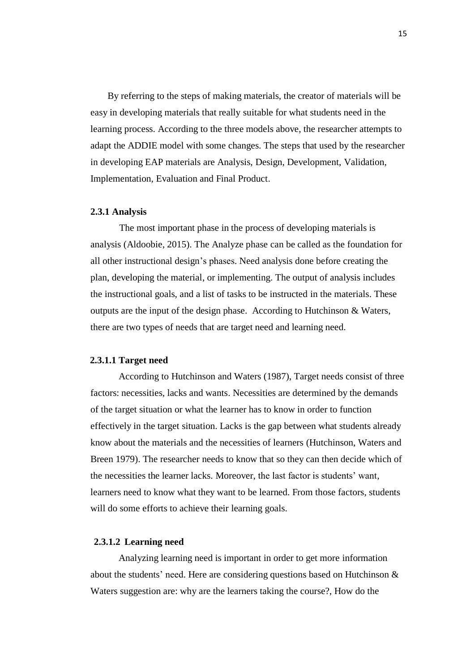By referring to the steps of making materials, the creator of materials will be easy in developing materials that really suitable for what students need in the learning process. According to the three models above, the researcher attempts to adapt the ADDIE model with some changes. The steps that used by the researcher in developing EAP materials are Analysis, Design, Development, Validation, Implementation, Evaluation and Final Product.

## **2.3.1 Analysis**

The most important phase in the process of developing materials is analysis (Aldoobie, 2015). The Analyze phase can be called as the foundation for all other instructional design's phases. Need analysis done before creating the plan, developing the material, or implementing. The output of analysis includes the instructional goals, and a list of tasks to be instructed in the materials. These outputs are the input of the design phase. According to Hutchinson & Waters, there are two types of needs that are target need and learning need.

#### **2.3.1.1 Target need**

According to Hutchinson and Waters (1987), Target needs consist of three factors: necessities, lacks and wants. Necessities are determined by the demands of the target situation or what the learner has to know in order to function effectively in the target situation. Lacks is the gap between what students already know about the materials and the necessities of learners (Hutchinson, Waters and Breen 1979). The researcher needs to know that so they can then decide which of the necessities the learner lacks. Moreover, the last factor is students' want, learners need to know what they want to be learned. From those factors, students will do some efforts to achieve their learning goals.

## **2.3.1.2 Learning need**

Analyzing learning need is important in order to get more information about the students' need. Here are considering questions based on Hutchinson & Waters suggestion are: why are the learners taking the course?, How do the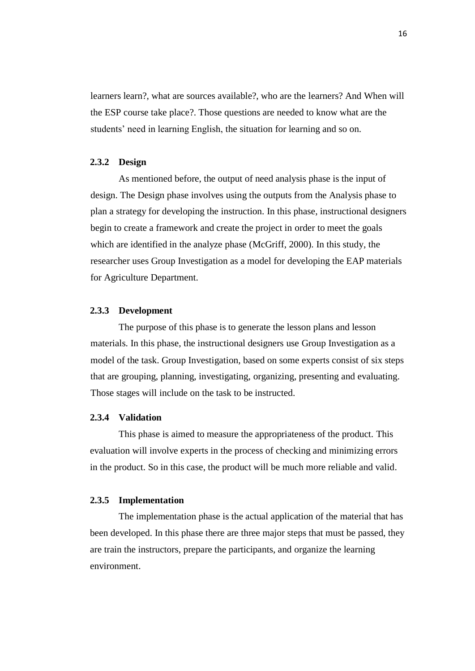learners learn?, what are sources available?, who are the learners? And When will the ESP course take place?. Those questions are needed to know what are the students' need in learning English, the situation for learning and so on.

## **2.3.2 Design**

As mentioned before, the output of need analysis phase is the input of design. The Design phase involves using the outputs from the Analysis phase to plan a strategy for developing the instruction. In this phase, instructional designers begin to create a framework and create the project in order to meet the goals which are identified in the analyze phase (McGriff, 2000). In this study, the researcher uses Group Investigation as a model for developing the EAP materials for Agriculture Department.

## **2.3.3 Development**

The purpose of this phase is to generate the lesson plans and lesson materials. In this phase, the instructional designers use Group Investigation as a model of the task. Group Investigation, based on some experts consist of six steps that are grouping, planning, investigating, organizing, presenting and evaluating. Those stages will include on the task to be instructed.

## **2.3.4 Validation**

This phase is aimed to measure the appropriateness of the product. This evaluation will involve experts in the process of checking and minimizing errors in the product. So in this case, the product will be much more reliable and valid.

## **2.3.5 Implementation**

The implementation phase is the actual application of the material that has been developed. In this phase there are three major steps that must be passed, they are train the instructors, prepare the participants, and organize the learning environment.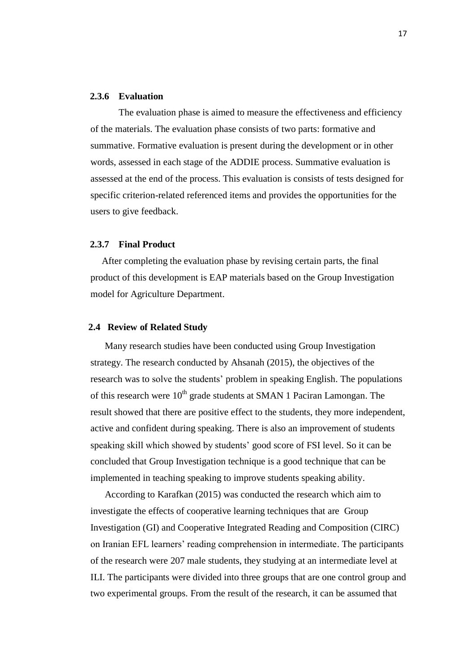## **2.3.6 Evaluation**

The evaluation phase is aimed to measure the effectiveness and efficiency of the materials. The evaluation phase consists of two parts: formative and summative. Formative evaluation is present during the development or in other words, assessed in each stage of the ADDIE process. Summative evaluation is assessed at the end of the process. This evaluation is consists of tests designed for specific criterion-related referenced items and provides the opportunities for the users to give feedback.

#### **2.3.7 Final Product**

After completing the evaluation phase by revising certain parts, the final product of this development is EAP materials based on the Group Investigation model for Agriculture Department.

# **2.4 Review of Related Study**

Many research studies have been conducted using Group Investigation strategy. The research conducted by Ahsanah (2015), the objectives of the research was to solve the students' problem in speaking English. The populations of this research were  $10^{th}$  grade students at SMAN 1 Paciran Lamongan. The result showed that there are positive effect to the students, they more independent, active and confident during speaking. There is also an improvement of students speaking skill which showed by students' good score of FSI level. So it can be concluded that Group Investigation technique is a good technique that can be implemented in teaching speaking to improve students speaking ability.

According to Karafkan (2015) was conducted the research which aim to investigate the effects of cooperative learning techniques that are Group Investigation (GI) and Cooperative Integrated Reading and Composition (CIRC) on Iranian EFL learners' reading comprehension in intermediate. The participants of the research were 207 male students, they studying at an intermediate level at ILI. The participants were divided into three groups that are one control group and two experimental groups. From the result of the research, it can be assumed that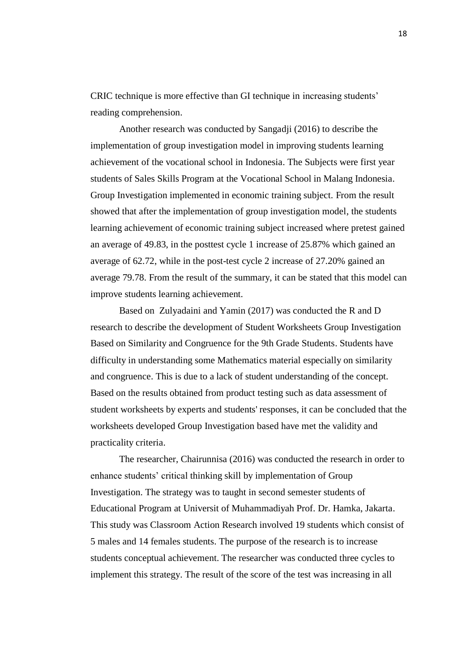CRIC technique is more effective than GI technique in increasing students' reading comprehension.

Another research was conducted by Sangadji (2016) to describe the implementation of group investigation model in improving students learning achievement of the vocational school in Indonesia. The Subjects were first year students of Sales Skills Program at the Vocational School in Malang Indonesia. Group Investigation implemented in economic training subject. From the result showed that after the implementation of group investigation model, the students learning achievement of economic training subject increased where pretest gained an average of 49.83, in the posttest cycle 1 increase of 25.87% which gained an average of 62.72, while in the post-test cycle 2 increase of 27.20% gained an average 79.78. From the result of the summary, it can be stated that this model can improve students learning achievement.

Based on Zulyadaini and Yamin (2017) was conducted the R and D research to describe the development of Student Worksheets Group Investigation Based on Similarity and Congruence for the 9th Grade Students. Students have difficulty in understanding some Mathematics material especially on similarity and congruence. This is due to a lack of student understanding of the concept. Based on the results obtained from product testing such as data assessment of student worksheets by experts and students' responses, it can be concluded that the worksheets developed Group Investigation based have met the validity and practicality criteria.

The researcher, Chairunnisa (2016) was conducted the research in order to enhance students' critical thinking skill by implementation of Group Investigation. The strategy was to taught in second semester students of Educational Program at Universit of Muhammadiyah Prof. Dr. Hamka, Jakarta. This study was Classroom Action Research involved 19 students which consist of 5 males and 14 females students. The purpose of the research is to increase students conceptual achievement. The researcher was conducted three cycles to implement this strategy. The result of the score of the test was increasing in all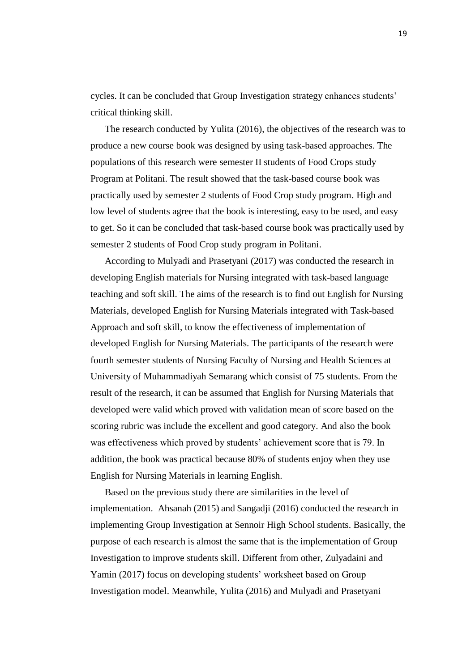cycles. It can be concluded that Group Investigation strategy enhances students' critical thinking skill.

The research conducted by Yulita (2016), the objectives of the research was to produce a new course book was designed by using task-based approaches. The populations of this research were semester II students of Food Crops study Program at Politani. The result showed that the task-based course book was practically used by semester 2 students of Food Crop study program. High and low level of students agree that the book is interesting, easy to be used, and easy to get. So it can be concluded that task-based course book was practically used by semester 2 students of Food Crop study program in Politani.

According to Mulyadi and Prasetyani (2017) was conducted the research in developing English materials for Nursing integrated with task-based language teaching and soft skill. The aims of the research is to find out English for Nursing Materials, developed English for Nursing Materials integrated with Task-based Approach and soft skill, to know the effectiveness of implementation of developed English for Nursing Materials. The participants of the research were fourth semester students of Nursing Faculty of Nursing and Health Sciences at University of Muhammadiyah Semarang which consist of 75 students. From the result of the research, it can be assumed that English for Nursing Materials that developed were valid which proved with validation mean of score based on the scoring rubric was include the excellent and good category. And also the book was effectiveness which proved by students' achievement score that is 79. In addition, the book was practical because 80% of students enjoy when they use English for Nursing Materials in learning English.

Based on the previous study there are similarities in the level of implementation. Ahsanah (2015) and Sangadji (2016) conducted the research in implementing Group Investigation at Sennoir High School students. Basically, the purpose of each research is almost the same that is the implementation of Group Investigation to improve students skill. Different from other, Zulyadaini and Yamin (2017) focus on developing students' worksheet based on Group Investigation model. Meanwhile, Yulita (2016) and Mulyadi and Prasetyani